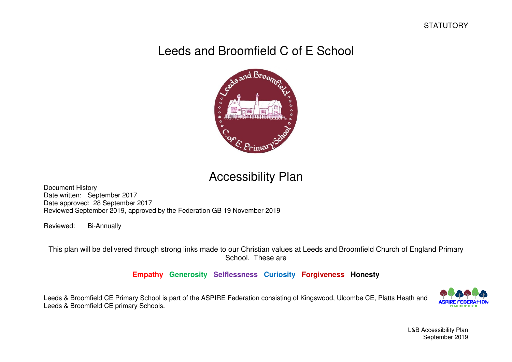# Leeds and Broomfield C of E School



# Accessibility Plan

Document History Date written: September 2017 Date approved: 28 September 2017 Reviewed September 2019, approved by the Federation GB 19 November 2019

Reviewed: Bi-Annually

This plan will be delivered through strong links made to our Christian values at Leeds and Broomfield Church of England Primary School. These are

## **Empathy Generosity Selflessness Curiosity Forgiveness Honesty**

Leeds & Broomfield CE Primary School is part of the ASPIRE Federation consisting of Kingswood, Ulcombe CE, Platts Heath and Leeds & Broomfield CE primary Schools.



L&B Accessibility Plan September 2019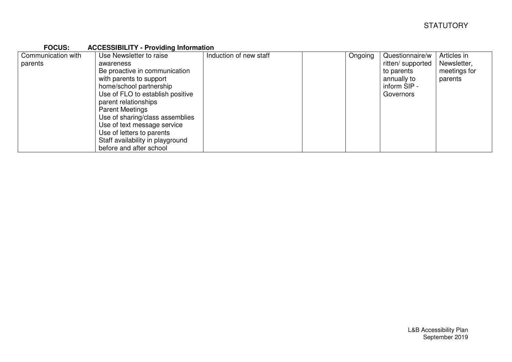| <b>FOCUS:</b>      | <b>ACCESSIBILITY - Providing Information</b> |                        |         |                   |              |
|--------------------|----------------------------------------------|------------------------|---------|-------------------|--------------|
| Communication with | Use Newsletter to raise                      | Induction of new staff | Ongoing | Questionnaire/w   | Articles in  |
| parents            | awareness                                    |                        |         | ritten/ supported | Newsletter,  |
|                    | Be proactive in communication                |                        |         | to parents        | meetings for |
|                    | with parents to support                      |                        |         | annually to       | parents      |
|                    | home/school partnership                      |                        |         | inform SIP -      |              |
|                    | Use of FLO to establish positive             |                        |         | Governors         |              |
|                    | parent relationships                         |                        |         |                   |              |
|                    | <b>Parent Meetings</b>                       |                        |         |                   |              |
|                    | Use of sharing/class assemblies              |                        |         |                   |              |
|                    | Use of text message service                  |                        |         |                   |              |
|                    | Use of letters to parents                    |                        |         |                   |              |
|                    | Staff availability in playground             |                        |         |                   |              |
|                    | before and after school                      |                        |         |                   |              |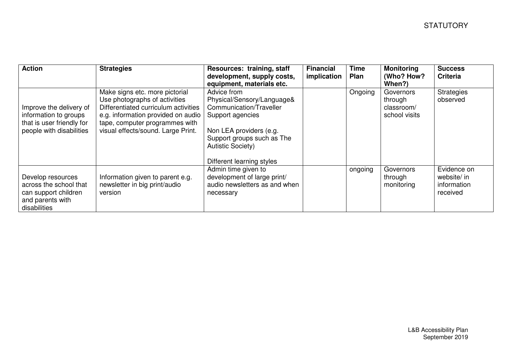| <b>Action</b>                                                                                             | <b>Strategies</b>                                                                                                                                                                                                     | Resources: training, staff<br>development, supply costs,<br>equipment, materials etc.                                                                                                                      | <b>Financial</b><br>implication | <b>Time</b><br>Plan | <b>Monitoring</b><br>(Who? How?<br>When?)           | <b>Success</b><br><b>Criteria</b>                     |
|-----------------------------------------------------------------------------------------------------------|-----------------------------------------------------------------------------------------------------------------------------------------------------------------------------------------------------------------------|------------------------------------------------------------------------------------------------------------------------------------------------------------------------------------------------------------|---------------------------------|---------------------|-----------------------------------------------------|-------------------------------------------------------|
| Improve the delivery of<br>information to groups<br>that is user friendly for<br>people with disabilities | Make signs etc. more pictorial<br>Use photographs of activities<br>Differentiated curriculum activities<br>e.g. information provided on audio<br>tape, computer programmes with<br>visual effects/sound. Large Print. | Advice from<br>Physical/Sensory/Language&<br>Communication/Traveller<br>Support agencies<br>Non LEA providers (e.g.<br>Support groups such as The<br><b>Autistic Society)</b><br>Different learning styles |                                 | Ongoing             | Governors<br>through<br>classroom/<br>school visits | <b>Strategies</b><br>observed                         |
| Develop resources<br>across the school that<br>can support children<br>and parents with<br>disabilities   | Information given to parent e.g.<br>newsletter in big print/audio<br>version                                                                                                                                          | Admin time given to<br>development of large print/<br>audio newsletters as and when<br>necessary                                                                                                           |                                 | ongoing             | Governors<br>through<br>monitoring                  | Evidence on<br>website/ in<br>information<br>received |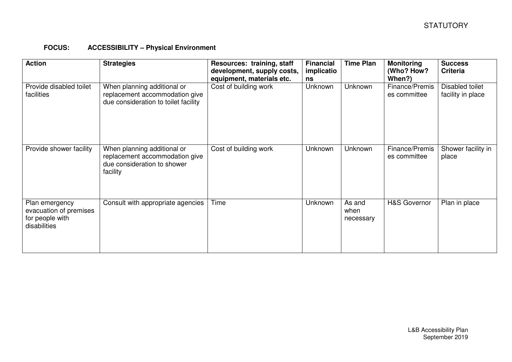#### **FOCUS: ACCESSIBILITY – Physical Environment**

| <b>Action</b>                                                               | <b>Strategies</b>                                                                                        | Resources: training, staff<br>development, supply costs,<br>equipment, materials etc. | <b>Financial</b><br>implicatio<br>ns | <b>Time Plan</b>            | <b>Monitoring</b><br>(Who? How?<br>When?) | <b>Success</b><br><b>Criteria</b>    |
|-----------------------------------------------------------------------------|----------------------------------------------------------------------------------------------------------|---------------------------------------------------------------------------------------|--------------------------------------|-----------------------------|-------------------------------------------|--------------------------------------|
| Provide disabled toilet<br>facilities                                       | When planning additional or<br>replacement accommodation give<br>due consideration to toilet facility    | Cost of building work                                                                 | Unknown                              | Unknown                     | Finance/Premis<br>es committee            | Disabled toilet<br>facility in place |
| Provide shower facility                                                     | When planning additional or<br>replacement accommodation give<br>due consideration to shower<br>facility | Cost of building work                                                                 | Unknown                              | Unknown                     | Finance/Premis<br>es committee            | Shower facility in<br>place          |
| Plan emergency<br>evacuation of premises<br>for people with<br>disabilities | Consult with appropriate agencies                                                                        | Time                                                                                  | Unknown                              | As and<br>when<br>necessary | <b>H&amp;S Governor</b>                   | Plan in place                        |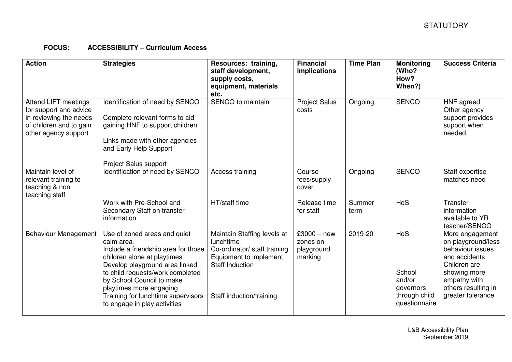### **FOCUS: ACCESSIBILITY – Curriculum Access**

| <b>Action</b>                                                                                                                      | <b>Strategies</b>                                                                                                                                                                                                                                                                                                    | Resources: training,<br>staff development,<br>supply costs,<br>equipment, materials<br>etc.                                                              | <b>Financial</b><br>implications                   | <b>Time Plan</b> | <b>Monitoring</b><br>(Who?<br>How?<br>When?)                           | <b>Success Criteria</b>                                                                                                                                                |
|------------------------------------------------------------------------------------------------------------------------------------|----------------------------------------------------------------------------------------------------------------------------------------------------------------------------------------------------------------------------------------------------------------------------------------------------------------------|----------------------------------------------------------------------------------------------------------------------------------------------------------|----------------------------------------------------|------------------|------------------------------------------------------------------------|------------------------------------------------------------------------------------------------------------------------------------------------------------------------|
| <b>Attend LIFT meetings</b><br>for support and advice<br>in reviewing the needs<br>of children and to gain<br>other agency support | Identification of need by SENCO<br>Complete relevant forms to aid<br>gaining HNF to support children<br>Links made with other agencies<br>and Early Help Support<br>Project Salus support                                                                                                                            | SENCO to maintain                                                                                                                                        | <b>Project Salus</b><br>costs                      | Ongoing          | <b>SENCO</b>                                                           | HNF agreed<br>Other agency<br>support provides<br>support when<br>needed                                                                                               |
| Maintain level of<br>relevant training to<br>teaching & non<br>teaching staff                                                      | Identification of need by SENCO                                                                                                                                                                                                                                                                                      | Access training                                                                                                                                          | Course<br>fees/supply<br>cover                     | Ongoing          | <b>SENCO</b>                                                           | Staff expertise<br>matches need                                                                                                                                        |
|                                                                                                                                    | Work with Pre-School and<br>Secondary Staff on transfer<br>information                                                                                                                                                                                                                                               | HT/staff time                                                                                                                                            | Release time<br>for staff                          | Summer<br>term-  | <b>HoS</b>                                                             | Transfer<br>information<br>available to YR<br>teacher/SENCO                                                                                                            |
| <b>Behaviour Management</b>                                                                                                        | Use of zoned areas and quiet<br>calm area.<br>Include a friendship area for those<br>children alone at playtimes<br>Develop playground area linked<br>to child requests/work completed<br>by School Council to make<br>playtimes more engaging<br>Training for lunchtime supervisors<br>to engage in play activities | Maintain Staffing levels at<br>lunchtime<br>Co-ordinator/ staff training<br>Equipment to implement<br><b>Staff Induction</b><br>Staff induction/training | $£3000 - new$<br>zones on<br>playground<br>marking | 2019-20          | HoS<br>School<br>and/or<br>governors<br>through child<br>questionnaire | More engagement<br>on playground/less<br>behaviour issues<br>and accidents<br>Children are<br>showing more<br>empathy with<br>others resulting in<br>greater tolerance |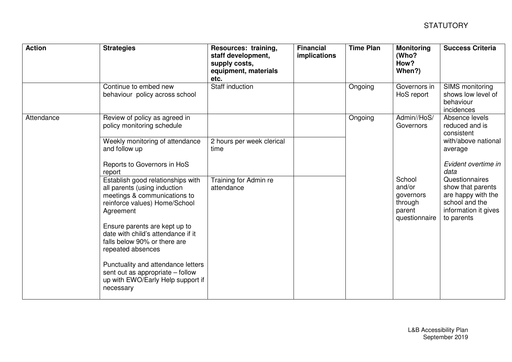| <b>Action</b> | <b>Strategies</b>                                                                                                                               | Resources: training,<br>staff development,<br>supply costs,<br>equipment, materials<br>etc. | <b>Financial</b><br>implications | <b>Time Plan</b>                                                    | <b>Monitoring</b><br>(Who?<br>How?<br>When?)                                                                              | <b>Success Criteria</b>                                                                                 |
|---------------|-------------------------------------------------------------------------------------------------------------------------------------------------|---------------------------------------------------------------------------------------------|----------------------------------|---------------------------------------------------------------------|---------------------------------------------------------------------------------------------------------------------------|---------------------------------------------------------------------------------------------------------|
|               | Continue to embed new<br>behaviour policy across school                                                                                         | <b>Staff induction</b>                                                                      |                                  | Ongoing                                                             | Governors in<br>HoS report                                                                                                | <b>SIMS</b> monitoring<br>shows low level of<br>behaviour<br>incidences                                 |
| Attendance    | Review of policy as agreed in<br>policy monitoring schedule                                                                                     |                                                                                             |                                  | Ongoing                                                             | Admin//HoS/<br>Governors                                                                                                  | Absence levels<br>reduced and is<br>consistent<br>with/above national<br>average<br>Evident overtime in |
|               | Weekly monitoring of attendance<br>and follow up                                                                                                | 2 hours per week clerical<br>time                                                           |                                  |                                                                     |                                                                                                                           |                                                                                                         |
|               | Reports to Governors in HoS<br>report                                                                                                           |                                                                                             |                                  | School<br>and/or<br>governors<br>through<br>parent<br>questionnaire | data<br>Questionnaires<br>show that parents<br>are happy with the<br>school and the<br>information it gives<br>to parents |                                                                                                         |
|               | Establish good relationships with<br>all parents (using induction<br>meetings & communications to<br>reinforce values) Home/School<br>Agreement | Training for Admin re<br>attendance                                                         |                                  |                                                                     |                                                                                                                           |                                                                                                         |
|               | Ensure parents are kept up to<br>date with child's attendance if it<br>falls below 90% or there are<br>repeated absences                        |                                                                                             |                                  |                                                                     |                                                                                                                           |                                                                                                         |
|               | Punctuality and attendance letters<br>sent out as appropriate - follow<br>up with EWO/Early Help support if<br>necessary                        |                                                                                             |                                  |                                                                     |                                                                                                                           |                                                                                                         |